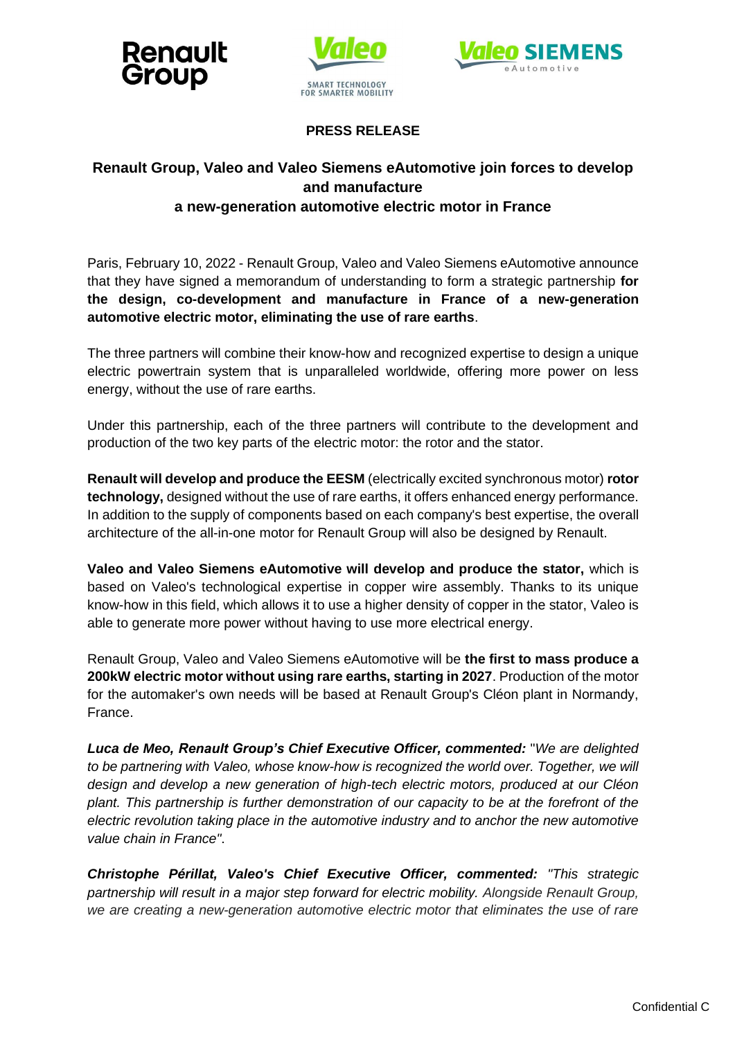





**PRESS RELEASE**

## **Renault Group, Valeo and Valeo Siemens eAutomotive join forces to develop and manufacture a new-generation automotive electric motor in France**

Paris, February 10, 2022 - Renault Group, Valeo and Valeo Siemens eAutomotive announce that they have signed a memorandum of understanding to form a strategic partnership **for the design, co-development and manufacture in France of a new-generation automotive electric motor, eliminating the use of rare earths**.

The three partners will combine their know-how and recognized expertise to design a unique electric powertrain system that is unparalleled worldwide, offering more power on less energy, without the use of rare earths.

Under this partnership, each of the three partners will contribute to the development and production of the two key parts of the electric motor: the rotor and the stator.

**Renault will develop and produce the EESM** (electrically excited synchronous motor) **rotor technology,** designed without the use of rare earths, it offers enhanced energy performance. In addition to the supply of components based on each company's best expertise, the overall architecture of the all-in-one motor for Renault Group will also be designed by Renault.

**Valeo and Valeo Siemens eAutomotive will develop and produce the stator,** which is based on Valeo's technological expertise in copper wire assembly. Thanks to its unique know-how in this field, which allows it to use a higher density of copper in the stator, Valeo is able to generate more power without having to use more electrical energy.

Renault Group, Valeo and Valeo Siemens eAutomotive will be **the first to mass produce a 200kW electric motor without using rare earths, starting in 2027**. Production of the motor for the automaker's own needs will be based at Renault Group's Cléon plant in Normandy, France.

*Luca de Meo, Renault Group's Chief Executive Officer, commented:* "*We are delighted*  to be partnering with Valeo, whose know-how is recognized the world over. Together, we will *design and develop a new generation of high-tech electric motors, produced at our Cléon plant. This partnership is further demonstration of our capacity to be at the forefront of the electric revolution taking place in the automotive industry and to anchor the new automotive value chain in France"*.

*Christophe Périllat, Valeo's Chief Executive Officer, commented: "This strategic partnership will result in a major step forward for electric mobility. Alongside Renault Group, we are creating a new-generation automotive electric motor that eliminates the use of rare*